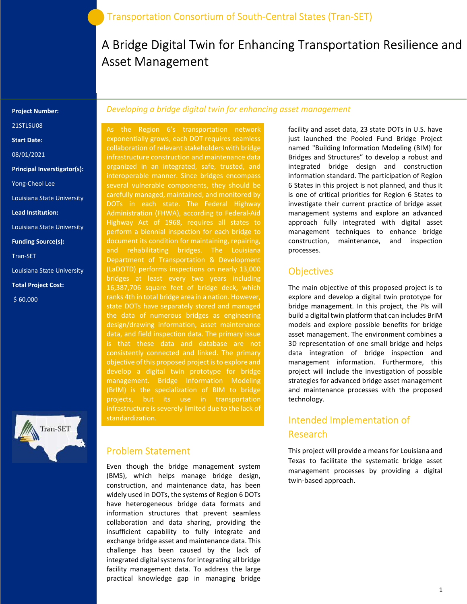# A Bridge Digital Twin for Enhancing Transportation Resilience and Asset Management

#### Project Number:

21STLSU08

Start Date:

08/01/2021

Principal Inverstigator(s):

Yong-Cheol Lee

Louisiana State University

Lead Institution:

Louisiana State University

Funding Source(s):

Tran-SET

Louisiana State University

Total Project Cost:

\$ 60,000



### Developing a bridge digital twin for enhancing asset management

 (LaDOTD) performs inspections on nearly 13,000 As the Region 6's transportation network exponentially grows, each DOT requires seamless collaboration of relevant stakeholders with bridge infrastructure construction and maintenance data organized in an integrated, safe, trusted, and interoperable manner. Since bridges encompass carefully managed, maintained, and monitored by DOTs in each state. The Federal Highway Administration (FHWA), according to Federal-Aid Highway Act of 1968, requires all states to perform a biennial inspection for each bridge to document its condition for maintaining, repairing, and rehabilitating bridges. The Louisiana Department of Transportation & Development bridges at least every two years including 16,387,706 square feet of bridge deck, which ranks 4th in total bridge area in a nation. However, state DOTs have separately stored and managed the data of numerous bridges as engineering design/drawing information, asset maintenance data, and field inspection data. The primary issue objective of this proposed project is to explore and develop a digital twin prototype for bridge management. Bridge Information Modeling (BrIM) is the specialization of BIM to bridge projects, but its use in transportation infrastructure is severely limited due to the lack of standardization.

#### Problem Statement

Even though the bridge management system (BMS), which helps manage bridge design, construction, and maintenance data, has been widely used in DOTs, the systems of Region 6 DOTs have heterogeneous bridge data formats and information structures that prevent seamless collaboration and data sharing, providing the insufficient capability to fully integrate and exchange bridge asset and maintenance data. This challenge has been caused by the lack of integrated digital systems for integrating all bridge facility management data. To address the large practical knowledge gap in managing bridge

facility and asset data, 23 state DOTs in U.S. have just launched the Pooled Fund Bridge Project named "Building Information Modeling (BIM) for Bridges and Structures" to develop a robust and integrated bridge design and construction information standard. The participation of Region 6 States in this project is not planned, and thus it is one of critical priorities for Region 6 States to investigate their current practice of bridge asset management systems and explore an advanced approach fully integrated with digital asset management techniques to enhance bridge construction, maintenance, and inspection processes.

## **Objectives**

The main objective of this proposed project is to explore and develop a digital twin prototype for bridge management. In this project, the PIs will build a digital twin platform that can includes BriM models and explore possible benefits for bridge asset management. The environment combines a 3D representation of one small bridge and helps data integration of bridge inspection and management information. Furthermore, this project will include the investigation of possible strategies for advanced bridge asset management and maintenance processes with the proposed technology.

# Intended Implementation of Research

This project will provide a means for Louisiana and Texas to facilitate the systematic bridge asset management processes by providing a digital twin-based approach.